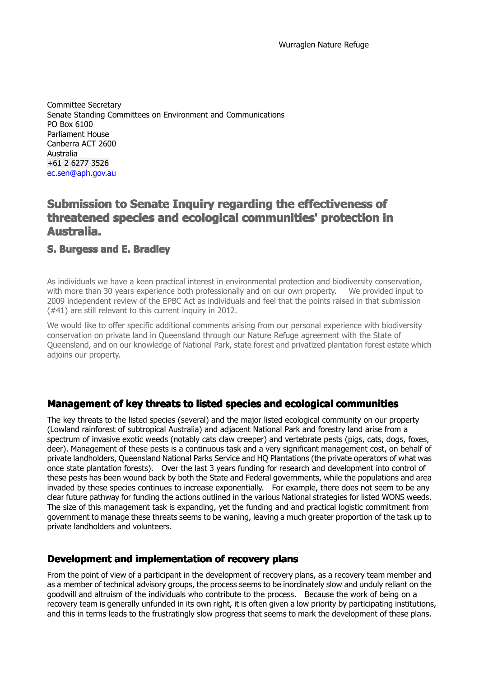Committee Secretary Senate Standing Committees on Environment and Communications PO Box 6100 Parliament House Canberra ACT 2600 Australia +61 2 6277 3526 [ec.sen@aph.gov.au](mailto:ec.sen@aph.gov.au)

# **Submission to Senate Inquiry regarding the effectiveness of threatened species and ecological communities' protection in Australia Australia ustralia.**

#### **S. Burgess and E. Bradley**

As individuals we have <sup>a</sup> keen practical interest in environmental protection and biodiversity conservation, with more than 30 years experience both professionally and on our own property. We provided input to 2009 independent review of the EPBC Act as individuals and feel that the points raised in that submission (#41) are still relevant to this current inquiry in 2012.

We would like to offer specific additional comments arising from our personal experience with biodiversity conservation on private land in Queensland through our Nature Refuge agreement with the State of Queensland, and on our knowledge of National Park, state forest and privatized plantation forest estate which adjoins our property.

### Management of key threats to listed species and ecological communities

The key threats to the listed species (several) and the major listed ecological community on our property (Lowland rainforest of subtropical Australia) and adjacent National Park and forestry land arise from <sup>a</sup> spectrum of invasive exotic weeds (notably cats claw creeper) and vertebrate pests (pigs, cats, dogs, foxes, deer). Management of these pests is <sup>a</sup> continuous task and <sup>a</sup> very significant management cost, on behalf of private landholders, Queensland National Parks Service and HQ Plantations (the private operators of what was once state plantation forests). Over the last 3 years funding for research and development into control of these pests has been wound back by both the State and Federal governments, while the populations and area invaded by these species continues to increase exponentially. For example, there does not seem to be any clear future pathway for funding the actions outlined in the various National strategies for listed WONS weeds. The size of this management task is expanding, yet the funding and and practical logistic commitment from government to manage these threats seems to be waning, leaving <sup>a</sup> much greater proportion of the task up to private landholders and volunteers.

### **Development and implementation of recovery plans**

From the point of view of a participant in the development of recovery plans, as a recovery team member and as amember of technical advisory groups, the process seems to be inordinately slow and unduly reliant on the goodwill and altruism of the individuals who contribute to the process. Because the work of being on <sup>a</sup> recovery team is generally unfunded in its own right, it is often given <sup>a</sup> low priority by participating institutions, and this in terms leads to the frustratingly slow progress that seems to mark the development of these plans.